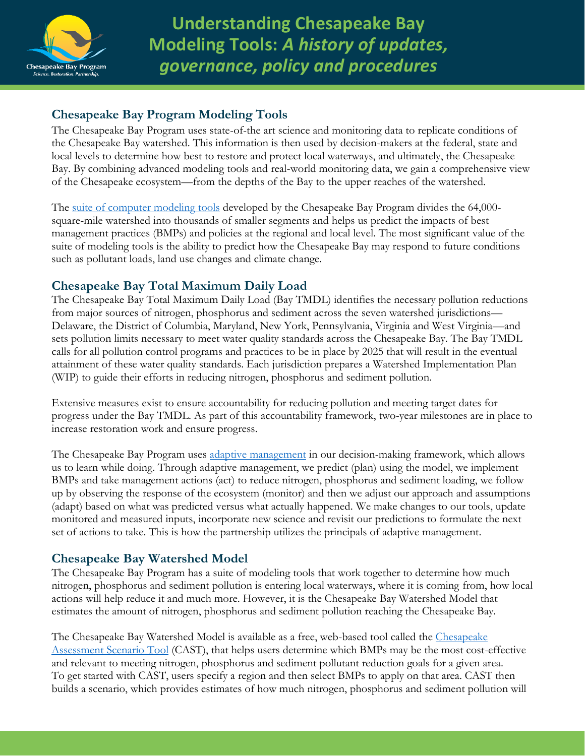

**Understanding Chesapeake Bay Modeling Tools:** *A history of updates, governance, policy and procedures*

## **Chesapeake Bay Program Modeling Tools**

The Chesapeake Bay Program uses state-of-the art science and monitoring data to replicate conditions of the Chesapeake Bay watershed. This information is then used by decision-makers at the federal, state and local levels to determine how best to restore and protect local waterways, and ultimately, the Chesapeake Bay. By combining advanced modeling tools and real-world monitoring data, we gain a comprehensive view of the Chesapeake ecosystem—from the depths of the Bay to the upper reaches of the watershed.

The <u>suite of computer modeling tools</u> developed by the Chesapeake Bay Program divides the 64,000square-mile watershed into thousands of smaller segments and helps us predict the impacts of best management practices (BMPs) and policies at the regional and local level. The most significant value of the suite of modeling tools is the ability to predict how the Chesapeake Bay may respond to future conditions such as pollutant loads, land use changes and climate change.

## **Chesapeake Bay Total Maximum Daily Load**

The Chesapeake Bay Total Maximum Daily Load (Bay TMDL) identifies the necessary pollution reductions from major sources of nitrogen, phosphorus and sediment across the seven watershed jurisdictions— Delaware, the District of Columbia, Maryland, New York, Pennsylvania, Virginia and West Virginia—and sets pollution limits necessary to meet water quality standards across the Chesapeake Bay. The Bay TMDL calls for all pollution control programs and practices to be in place by 2025 that will result in the eventual attainment of these water quality standards. Each jurisdiction prepares a Watershed Implementation Plan (WIP) to guide their efforts in reducing nitrogen, phosphorus and sediment pollution.

Extensive measures exist to ensure accountability for reducing pollution and meeting target dates for progress under the Bay TMDL. As part of this accountability framework, two-year milestones are in place to increase restoration work and ensure progress.

The Chesapeake Bay Program uses [adaptive management](https://www.chesapeakebay.net/decisions) in our decision-making framework, which allows us to learn while doing. Through adaptive management, we predict (plan) using the model, we implement BMPs and take management actions (act) to reduce nitrogen, phosphorus and sediment loading, we follow up by observing the response of the ecosystem (monitor) and then we adjust our approach and assumptions (adapt) based on what was predicted versus what actually happened. We make changes to our tools, update monitored and measured inputs, incorporate new science and revisit our predictions to formulate the next set of actions to take. This is how the partnership utilizes the principals of adaptive management.

## **Chesapeake Bay Watershed Model**

The Chesapeake Bay Program has a suite of modeling tools that work together to determine how much nitrogen, phosphorus and sediment pollution is entering local waterways, where it is coming from, how local actions will help reduce it and much more. However, it is the Chesapeake Bay Watershed Model that estimates the amount of nitrogen, phosphorus and sediment pollution reaching the Chesapeake Bay.

The [Chesapeake](https://cast.chesapeakebay.net/) Bay Watershed Model is available as a free, web-based tool called the Chesapeake [Assessment Scenario Tool](https://cast.chesapeakebay.net/) (CAST), that helps users determine which BMPs may be the most cost-effective and relevant to meeting nitrogen, phosphorus and sediment pollutant reduction goals for a given area. To get started with CAST, users specify a region and then select BMPs to apply on that area. CAST then builds a scenario, which provides estimates of how much nitrogen, phosphorus and sediment pollution will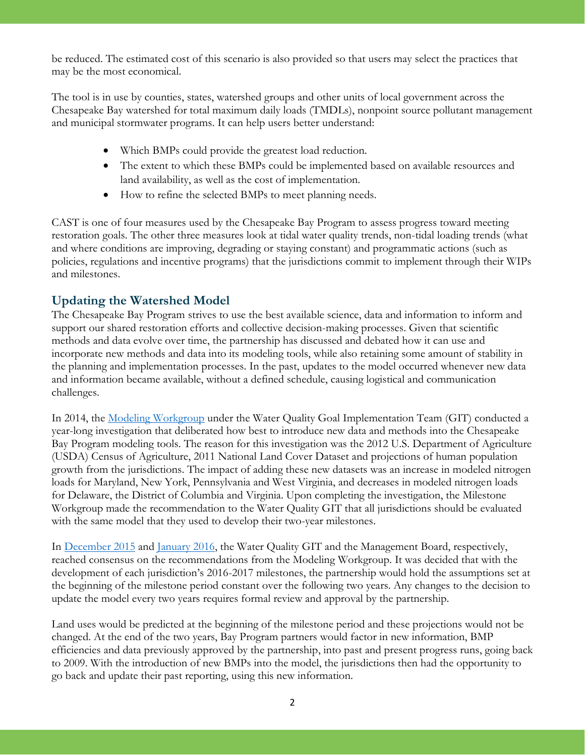be reduced. The estimated cost of this scenario is also provided so that users may select the practices that may be the most economical.

The tool is in use by counties, states, watershed groups and other units of local government across the Chesapeake Bay watershed for total maximum daily loads (TMDLs), nonpoint source pollutant management and municipal stormwater programs. It can help users better understand:

- Which BMPs could provide the greatest load reduction.
- The extent to which these BMPs could be implemented based on available resources and land availability, as well as the cost of implementation.
- How to refine the selected BMPs to meet planning needs.

CAST is one of four measures used by the Chesapeake Bay Program to assess progress toward meeting restoration goals. The other three measures look at tidal water quality trends, non-tidal loading trends (what and where conditions are improving, degrading or staying constant) and programmatic actions (such as policies, regulations and incentive programs) that the jurisdictions commit to implement through their WIPs and milestones.

# **Updating the Watershed Model**

The Chesapeake Bay Program strives to use the best available science, data and information to inform and support our shared restoration efforts and collective decision-making processes. Given that scientific methods and data evolve over time, the partnership has discussed and debated how it can use and incorporate new methods and data into its modeling tools, while also retaining some amount of stability in the planning and implementation processes. In the past, updates to the model occurred whenever new data and information became available, without a defined schedule, causing logistical and communication challenges.

In 2014, the [Modeling Workgroup](https://www.chesapeakebay.net/who/group/modeling_team) under the Water Quality Goal Implementation Team (GIT) conducted a year-long investigation that deliberated how best to introduce new data and methods into the Chesapeake Bay Program modeling tools. The reason for this investigation was the 2012 U.S. Department of Agriculture (USDA) Census of Agriculture, 2011 National Land Cover Dataset and projections of human population growth from the jurisdictions. The impact of adding these new datasets was an increase in modeled nitrogen loads for Maryland, New York, Pennsylvania and West Virginia, and decreases in modeled nitrogen loads for Delaware, the District of Columbia and Virginia. Upon completing the investigation, the Milestone Workgroup made the recommendation to the Water Quality GIT that all jurisdictions should be evaluated with the same model that they used to develop their two-year milestones.

In [December 2015](https://www.chesapeakebay.net/channel_files/22350/wqgit_december_f2f_actions_and_decisions.pdf) and [January 2016,](https://www.chesapeakebay.net/channel_files/23114/mb_actions_decisions_1.14.16.docx) the Water Quality GIT and the Management Board, respectively, reached consensus on the recommendations from the Modeling Workgroup. It was decided that with the development of each jurisdiction's 2016-2017 milestones, the partnership would hold the assumptions set at the beginning of the milestone period constant over the following two years. Any changes to the decision to update the model every two years requires formal review and approval by the partnership.

Land uses would be predicted at the beginning of the milestone period and these projections would not be changed. At the end of the two years, Bay Program partners would factor in new information, BMP efficiencies and data previously approved by the partnership, into past and present progress runs, going back to 2009. With the introduction of new BMPs into the model, the jurisdictions then had the opportunity to go back and update their past reporting, using this new information.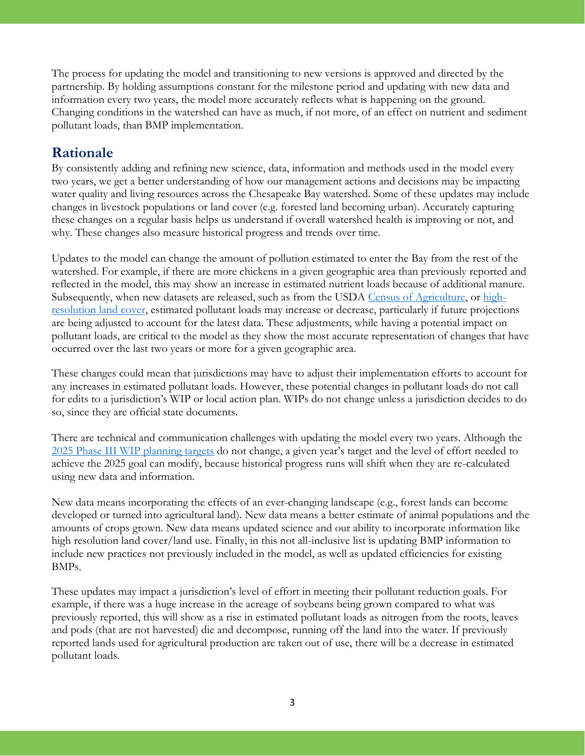The process for updating the model and transitioning to new versions is approved and directed by the partnership. By holding assumptions constant for the milestone period and updating with new data and information every two years, the model more accurately reflects what is happening on the ground. Changing conditions in the watershed can have as much, if not more, of an effect on nutrient and sediment pollutant loads, than BMP implementation.

# **Rationale**

By consistently adding and refining new science, data, information and methods used in the model every two years, we get a better understanding of how our management actions and decisions may be impacting water quality and living resources across the Chesapeake Bay watershed. Some of these updates may include changes in livestock populations or land cover (e.g. forested land becoming urban). Accurately capturing these changes on a regular basis helps us understand if overall watershed health is improving or not, and why. These changes also measure historical progress and trends over time.

Updates to the model can change the amount of pollution estimated to enter the Bay from the rest of the watershed. For example, if there are more chickens in a given geographic area than previously reported and reflected in the model, this may show an increase in estimated nutrient loads because of additional manure. Subsequently, when new datasets are released, such as from the USDA [Census of Agriculture,](https://www.chesapeakebay.net/news/blog/recent_agricultural_census_shows_conservation_practices_are_on_the_rise) or [high](https://www.chesapeakebay.net/news/blog/groundbreaking_land_cover_data_to_support_chesapeake_bay_restoration_effort)[resolution land cover,](https://www.chesapeakebay.net/news/blog/groundbreaking_land_cover_data_to_support_chesapeake_bay_restoration_effort) estimated pollutant loads may increase or decrease, particularly if future projections are being adjusted to account for the latest data. These adjustments, while having a potential impact on pollutant loads, are critical to the model as they show the most accurate representation of changes that have occurred over the last two years or more for a given geographic area.

These changes could mean that jurisdictions may have to adjust their implementation efforts to account for any increases in estimated pollutant loads. However, these potential changes in pollutant loads do not call for edits to a jurisdiction's WIP or local action plan. WIPs do not change unless a jurisdiction decides to do so, since they are official state documents.

There are technical and communication challenges with updating the model every two years. Although the [2025 Phase III WIP planning targets](https://www.chesapeakebay.net/news/blog/chesapeake_bay_program_sets_new_targets_for_nutrient_reductions) do not change, a given year's target and the level of effort needed to achieve the 2025 goal can modify, because historical progress runs will shift when they are re-calculated using new data and information.

New data means incorporating the effects of an ever-changing landscape (e.g., forest lands can become developed or turned into agricultural land). New data means a better estimate of animal populations and the amounts of crops grown. New data means updated science and our ability to incorporate information like high resolution land cover/land use. Finally, in this not all-inclusive list is updating BMP information to include new practices not previously included in the model, as well as updated efficiencies for existing BMPs.

These updates may impact a jurisdiction's level of effort in meeting their pollutant reduction goals. For example, if there was a huge increase in the acreage of soybeans being grown compared to what was previously reported, this will show as a rise in estimated pollutant loads as nitrogen from the roots, leaves and pods (that are not harvested) die and decompose, running off the land into the water. If previously reported lands used for agricultural production are taken out of use, there will be a decrease in estimated pollutant loads.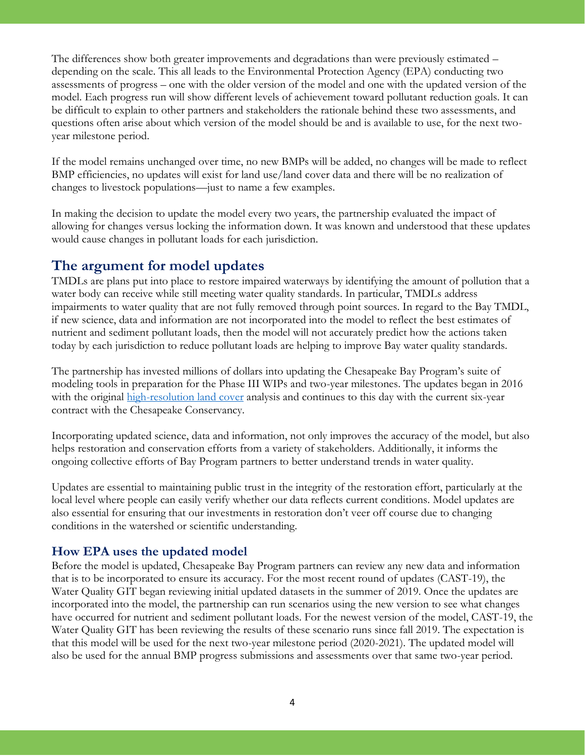The differences show both greater improvements and degradations than were previously estimated – depending on the scale. This all leads to the Environmental Protection Agency (EPA) conducting two assessments of progress – one with the older version of the model and one with the updated version of the model. Each progress run will show different levels of achievement toward pollutant reduction goals. It can be difficult to explain to other partners and stakeholders the rationale behind these two assessments, and questions often arise about which version of the model should be and is available to use, for the next twoyear milestone period.

If the model remains unchanged over time, no new BMPs will be added, no changes will be made to reflect BMP efficiencies, no updates will exist for land use/land cover data and there will be no realization of changes to livestock populations—just to name a few examples.

In making the decision to update the model every two years, the partnership evaluated the impact of allowing for changes versus locking the information down. It was known and understood that these updates would cause changes in pollutant loads for each jurisdiction.

## **The argument for model updates**

TMDLs are plans put into place to restore impaired waterways by identifying the amount of pollution that a water body can receive while still meeting water quality standards. In particular, TMDLs address impairments to water quality that are not fully removed through point sources. In regard to the Bay TMDL, if new science, data and information are not incorporated into the model to reflect the best estimates of nutrient and sediment pollutant loads, then the model will not accurately predict how the actions taken today by each jurisdiction to reduce pollutant loads are helping to improve Bay water quality standards.

The partnership has invested millions of dollars into updating the Chesapeake Bay Program's suite of modeling tools in preparation for the Phase III WIPs and two-year milestones. The updates began in 2016 with the original [high-resolution land cover](https://www.chesapeakebay.net/news/pressrelease/chesapeake_bay_restoration_to_benefit_from_groundbreaking_technology_advanc) analysis and continues to this day with the current six-year contract with the Chesapeake Conservancy.

Incorporating updated science, data and information, not only improves the accuracy of the model, but also helps restoration and conservation efforts from a variety of stakeholders. Additionally, it informs the ongoing collective efforts of Bay Program partners to better understand trends in water quality.

Updates are essential to maintaining public trust in the integrity of the restoration effort, particularly at the local level where people can easily verify whether our data reflects current conditions. Model updates are also essential for ensuring that our investments in restoration don't veer off course due to changing conditions in the watershed or scientific understanding.

### **How EPA uses the updated model**

Before the model is updated, Chesapeake Bay Program partners can review any new data and information that is to be incorporated to ensure its accuracy. For the most recent round of updates (CAST-19), the Water Quality GIT began reviewing initial updated datasets in the summer of 2019. Once the updates are incorporated into the model, the partnership can run scenarios using the new version to see what changes have occurred for nutrient and sediment pollutant loads. For the newest version of the model, CAST-19, the Water Quality GIT has been reviewing the results of these scenario runs since fall 2019. The expectation is that this model will be used for the next two-year milestone period (2020-2021). The updated model will also be used for the annual BMP progress submissions and assessments over that same two-year period.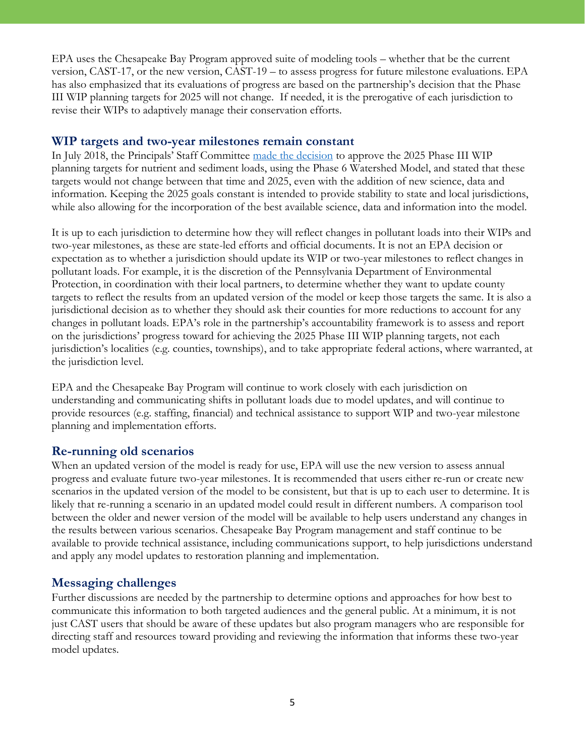EPA uses the Chesapeake Bay Program approved suite of modeling tools – whether that be the current version, CAST-17, or the new version, CAST-19 – to assess progress for future milestone evaluations. EPA has also emphasized that its evaluations of progress are based on the partnership's decision that the Phase III WIP planning targets for 2025 will not change. If needed, it is the prerogative of each jurisdiction to revise their WIPs to adaptively manage their conservation efforts.

#### **WIP targets and two-year milestones remain constant**

In July 2018, the Principals' Staff Committee [made the decision](https://www.chesapeakebay.net/channel_files/29609/i.a._psc_actions-decisions_7-9-18_final_2.pdf) to approve the 2025 Phase III WIP planning targets for nutrient and sediment loads, using the Phase 6 Watershed Model, and stated that these targets would not change between that time and 2025, even with the addition of new science, data and information. Keeping the 2025 goals constant is intended to provide stability to state and local jurisdictions, while also allowing for the incorporation of the best available science, data and information into the model.

It is up to each jurisdiction to determine how they will reflect changes in pollutant loads into their WIPs and two-year milestones, as these are state-led efforts and official documents. It is not an EPA decision or expectation as to whether a jurisdiction should update its WIP or two-year milestones to reflect changes in pollutant loads. For example, it is the discretion of the Pennsylvania Department of Environmental Protection, in coordination with their local partners, to determine whether they want to update county targets to reflect the results from an updated version of the model or keep those targets the same. It is also a jurisdictional decision as to whether they should ask their counties for more reductions to account for any changes in pollutant loads. EPA's role in the partnership's accountability framework is to assess and report on the jurisdictions' progress toward for achieving the 2025 Phase III WIP planning targets, not each jurisdiction's localities (e.g. counties, townships), and to take appropriate federal actions, where warranted, at the jurisdiction level.

EPA and the Chesapeake Bay Program will continue to work closely with each jurisdiction on understanding and communicating shifts in pollutant loads due to model updates, and will continue to provide resources (e.g. staffing, financial) and technical assistance to support WIP and two-year milestone planning and implementation efforts.

#### **Re-running old scenarios**

When an updated version of the model is ready for use, EPA will use the new version to assess annual progress and evaluate future two-year milestones. It is recommended that users either re-run or create new scenarios in the updated version of the model to be consistent, but that is up to each user to determine. It is likely that re-running a scenario in an updated model could result in different numbers. A comparison tool between the older and newer version of the model will be available to help users understand any changes in the results between various scenarios. Chesapeake Bay Program management and staff continue to be available to provide technical assistance, including communications support, to help jurisdictions understand and apply any model updates to restoration planning and implementation.

#### **Messaging challenges**

Further discussions are needed by the partnership to determine options and approaches for how best to communicate this information to both targeted audiences and the general public. At a minimum, it is not just CAST users that should be aware of these updates but also program managers who are responsible for directing staff and resources toward providing and reviewing the information that informs these two-year model updates.